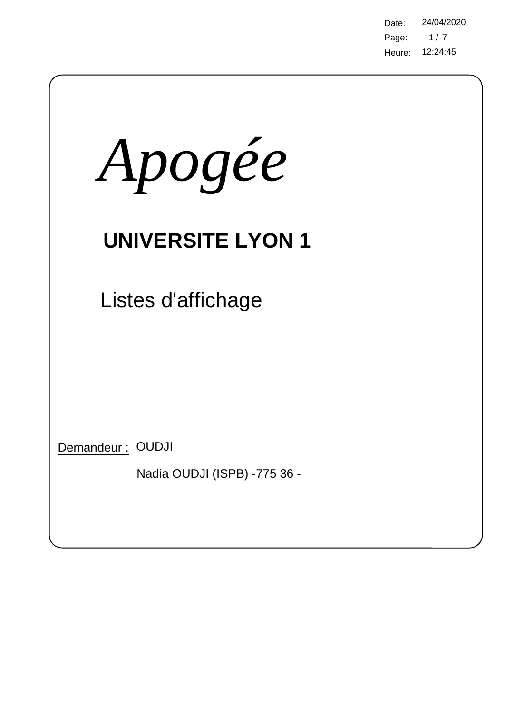Page: Heure: 12:24:45 Date: 24/04/2020  $1/7$ 

| Apogée                                           |
|--------------------------------------------------|
| <b>UNIVERSITE LYON 1</b>                         |
| Listes d'affichage                               |
| Demandeur: OUDJI<br>Nadia OUDJI (ISPB) -775 36 - |

 $\bigg)$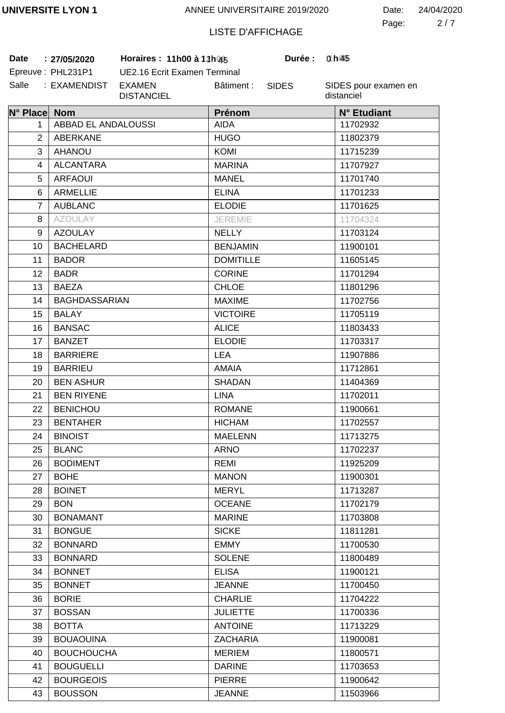2 7 Page: Date: 24/04/2020

# LISTE D'AFFICHAGE

**Date** : 27/05/2020 Horaires : 11h00 à 12h045 Durée : 0h045 **:** Epreuve: PHL231P1

UE2.16 Ecrit Examen Terminal Salle : EXAMENDIST EXAMEN DISTANCIEL Bâtiment :

SIDES

**1 45 0 45**

SIDES pour examen en distanciel

| N° Place Nom   |                      | Prénom           | N° Etudiant |
|----------------|----------------------|------------------|-------------|
| 1.             | ABBAD EL ANDALOUSSI  | <b>AIDA</b>      | 11702932    |
| $\overline{2}$ | ABERKANE             | <b>HUGO</b>      | 11802379    |
| 3              | <b>AHANOU</b>        | <b>KOMI</b>      | 11715239    |
| 4              | <b>ALCANTARA</b>     | <b>MARINA</b>    | 11707927    |
| 5              | <b>ARFAOUI</b>       | <b>MANEL</b>     | 11701740    |
| 6              | <b>ARMELLIE</b>      | <b>ELINA</b>     | 11701233    |
| $\overline{7}$ | <b>AUBLANC</b>       | <b>ELODIE</b>    | 11701625    |
| 8              | <b>AZOULAY</b>       | <b>JEREMIE</b>   | 11704324    |
| 9              | <b>AZOULAY</b>       | <b>NELLY</b>     | 11703124    |
| 10             | <b>BACHELARD</b>     | <b>BENJAMIN</b>  | 11900101    |
| 11             | <b>BADOR</b>         | <b>DOMITILLE</b> | 11605145    |
| 12             | <b>BADR</b>          | <b>CORINE</b>    | 11701294    |
| 13             | <b>BAEZA</b>         | <b>CHLOE</b>     | 11801296    |
| 14             | <b>BAGHDASSARIAN</b> | <b>MAXIME</b>    | 11702756    |
| 15             | <b>BALAY</b>         | <b>VICTOIRE</b>  | 11705119    |
| 16             | <b>BANSAC</b>        | <b>ALICE</b>     | 11803433    |
| 17             | <b>BANZET</b>        | <b>ELODIE</b>    | 11703317    |
| 18             | <b>BARRIERE</b>      | <b>LEA</b>       | 11907886    |
| 19             | <b>BARRIEU</b>       | <b>AMAIA</b>     | 11712861    |
| 20             | <b>BEN ASHUR</b>     | <b>SHADAN</b>    | 11404369    |
| 21             | <b>BEN RIYENE</b>    | <b>LINA</b>      | 11702011    |
| 22             | <b>BENICHOU</b>      | <b>ROMANE</b>    | 11900661    |
| 23             | <b>BENTAHER</b>      | <b>HICHAM</b>    | 11702557    |
| 24             | <b>BINOIST</b>       | <b>MAELENN</b>   | 11713275    |
| 25             | <b>BLANC</b>         | <b>ARNO</b>      | 11702237    |
| 26             | <b>BODIMENT</b>      | <b>REMI</b>      | 11925209    |
| 27             | <b>BOHE</b>          | <b>MANON</b>     | 11900301    |
| 28             | <b>BOINET</b>        | <b>MERYL</b>     | 11713287    |
| 29             | <b>BON</b>           | <b>OCEANE</b>    | 11702179    |
| 30             | <b>BONAMANT</b>      | <b>MARINE</b>    | 11703808    |
| 31             | <b>BONGUE</b>        | <b>SICKE</b>     | 11811281    |
| 32             | <b>BONNARD</b>       | <b>EMMY</b>      | 11700530    |
| 33             | <b>BONNARD</b>       | <b>SOLENE</b>    | 11800489    |
| 34             | <b>BONNET</b>        | <b>ELISA</b>     | 11900121    |
| 35             | <b>BONNET</b>        | <b>JEANNE</b>    | 11700450    |
| 36             | <b>BORIE</b>         | <b>CHARLIE</b>   | 11704222    |
| 37             | <b>BOSSAN</b>        | <b>JULIETTE</b>  | 11700336    |
| 38             | <b>BOTTA</b>         | <b>ANTOINE</b>   | 11713229    |
| 39             | <b>BOUAOUINA</b>     | <b>ZACHARIA</b>  | 11900081    |
| 40             | <b>BOUCHOUCHA</b>    | <b>MERIEM</b>    | 11800571    |
| 41             | <b>BOUGUELLI</b>     | <b>DARINE</b>    | 11703653    |
| 42             | <b>BOURGEOIS</b>     | <b>PIERRE</b>    | 11900642    |
| 43             | <b>BOUSSON</b>       | <b>JEANNE</b>    | 11503966    |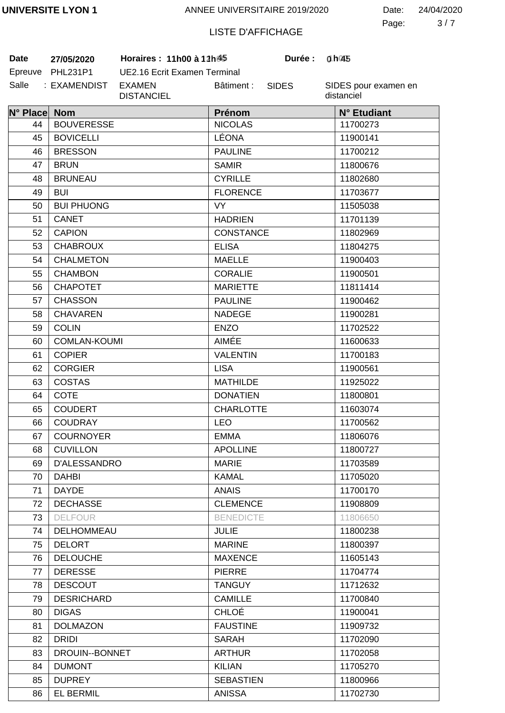3 7 Page: Date: 24/04/2020

# LISTE D'AFFICHAGE

SIDES

Salle : EXAMENDIST EXAMEN **Date** 27/05/2020 **Horaires :** 11h00 à 12h45

EL BERMIL

86

Epreuve PHL231P1 UE2.16 Ecrit Examen Terminal DISTANCIEL Bâtiment :

SIDES pour examen en distanciel

**1 45 0 45**

| N° Place Nom |                     | Prénom           | N° Etudiant |
|--------------|---------------------|------------------|-------------|
| 44           | <b>BOUVERESSE</b>   | <b>NICOLAS</b>   | 11700273    |
| 45           | <b>BOVICELLI</b>    | LÉONA            | 11900141    |
| 46           | <b>BRESSON</b>      | <b>PAULINE</b>   | 11700212    |
| 47           | <b>BRUN</b>         | <b>SAMIR</b>     | 11800676    |
| 48           | <b>BRUNEAU</b>      | <b>CYRILLE</b>   | 11802680    |
| 49           | <b>BUI</b>          | <b>FLORENCE</b>  | 11703677    |
| 50           | <b>BUI PHUONG</b>   | VY.              | 11505038    |
| 51           | CANET               | <b>HADRIEN</b>   | 11701139    |
| 52           | <b>CAPION</b>       | <b>CONSTANCE</b> | 11802969    |
| 53           | <b>CHABROUX</b>     | <b>ELISA</b>     | 11804275    |
| 54           | <b>CHALMETON</b>    | <b>MAELLE</b>    | 11900403    |
| 55           | <b>CHAMBON</b>      | <b>CORALIE</b>   | 11900501    |
| 56           | <b>CHAPOTET</b>     | <b>MARIETTE</b>  | 11811414    |
| 57           | <b>CHASSON</b>      | <b>PAULINE</b>   | 11900462    |
| 58           | <b>CHAVAREN</b>     | <b>NADEGE</b>    | 11900281    |
| 59           | <b>COLIN</b>        | <b>ENZO</b>      | 11702522    |
| 60           | <b>COMLAN-KOUMI</b> | AIMÉE            | 11600633    |
| 61           | <b>COPIER</b>       | <b>VALENTIN</b>  | 11700183    |
| 62           | <b>CORGIER</b>      | <b>LISA</b>      | 11900561    |
| 63           | <b>COSTAS</b>       | <b>MATHILDE</b>  | 11925022    |
| 64           | <b>COTE</b>         | <b>DONATIEN</b>  | 11800801    |
| 65           | <b>COUDERT</b>      | <b>CHARLOTTE</b> | 11603074    |
| 66           | COUDRAY             | <b>LEO</b>       | 11700562    |
| 67           | <b>COURNOYER</b>    | <b>EMMA</b>      | 11806076    |
| 68           | <b>CUVILLON</b>     | <b>APOLLINE</b>  | 11800727    |
| 69           | D'ALESSANDRO        | <b>MARIE</b>     | 11703589    |
| 70           | <b>DAHBI</b>        | <b>KAMAL</b>     | 11705020    |
| 71           | <b>DAYDE</b>        | <b>ANAIS</b>     | 11700170    |
| 72           | <b>DECHASSE</b>     | <b>CLEMENCE</b>  | 11908809    |
| 73           | <b>DELFOUR</b>      | <b>BENEDICTE</b> | 11806650    |
| 74           | <b>DELHOMMEAU</b>   | <b>JULIE</b>     | 11800238    |
| 75           | <b>DELORT</b>       | <b>MARINE</b>    | 11800397    |
| 76           | <b>DELOUCHE</b>     | <b>MAXENCE</b>   | 11605143    |
| 77           | <b>DERESSE</b>      | <b>PIERRE</b>    | 11704774    |
| 78           | <b>DESCOUT</b>      | <b>TANGUY</b>    | 11712632    |
| 79           | <b>DESRICHARD</b>   | <b>CAMILLE</b>   | 11700840    |
| 80           | <b>DIGAS</b>        | <b>CHLOÉ</b>     | 11900041    |
| 81           | <b>DOLMAZON</b>     | <b>FAUSTINE</b>  | 11909732    |
| 82           | <b>DRIDI</b>        | <b>SARAH</b>     | 11702090    |
| 83           | DROUIN--BONNET      | <b>ARTHUR</b>    | 11702058    |
| 84           | <b>DUMONT</b>       | <b>KILIAN</b>    | 11705270    |
| 85           | <b>DUPREY</b>       | <b>SEBASTIEN</b> | 11800966    |

ANISSA

11702730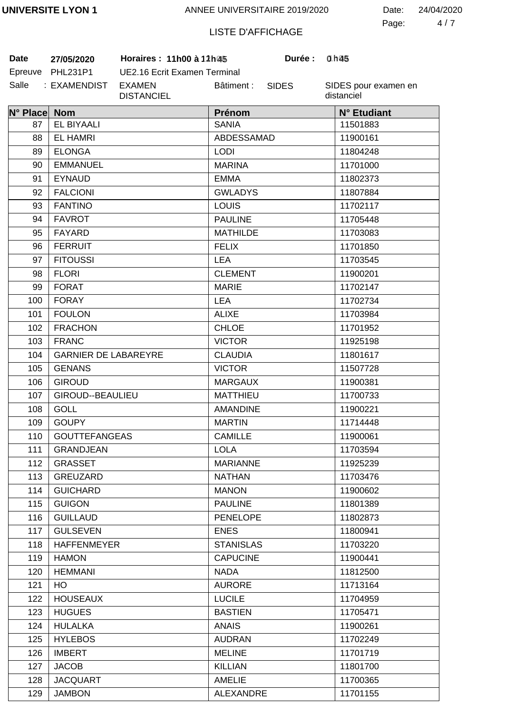4 7 Page: Date: 24/04/2020

# LISTE D'AFFICHAGE

**Date 27/05/2020 Horaires : 11h00 à 12h00 Durée : 1h00**

| Date    | 27/05/2020   |  |  |
|---------|--------------|--|--|
| Epreuve | PHL231P1     |  |  |
| Salle   | : EXAMENDIST |  |  |

UE2.16 Ecrit Examen Terminal EXAMEN DISTANCIEL Bâtiment :

SIDES

**Durée:** 

SIDES pour examen en distanciel

| N° Place Nom |                             | Prénom           | N° Etudiant |
|--------------|-----------------------------|------------------|-------------|
| 87           | EL BIYAALI                  | <b>SANIA</b>     | 11501883    |
| 88           | <b>EL HAMRI</b>             | ABDESSAMAD       | 11900161    |
| 89           | <b>ELONGA</b>               | <b>LODI</b>      | 11804248    |
| 90           | <b>EMMANUEL</b>             | <b>MARINA</b>    | 11701000    |
| 91           | <b>EYNAUD</b>               | <b>EMMA</b>      | 11802373    |
| 92           | <b>FALCIONI</b>             | <b>GWLADYS</b>   | 11807884    |
| 93           | <b>FANTINO</b>              | <b>LOUIS</b>     | 11702117    |
| 94           | <b>FAVROT</b>               | <b>PAULINE</b>   | 11705448    |
| 95           | <b>FAYARD</b>               | <b>MATHILDE</b>  | 11703083    |
| 96           | <b>FERRUIT</b>              | <b>FELIX</b>     | 11701850    |
| 97           | <b>FITOUSSI</b>             | <b>LEA</b>       | 11703545    |
| 98           | <b>FLORI</b>                | <b>CLEMENT</b>   | 11900201    |
| 99           | <b>FORAT</b>                | <b>MARIE</b>     | 11702147    |
| 100          | <b>FORAY</b>                | <b>LEA</b>       | 11702734    |
| 101          | <b>FOULON</b>               | <b>ALIXE</b>     | 11703984    |
| 102          | <b>FRACHON</b>              | <b>CHLOE</b>     | 11701952    |
| 103          | <b>FRANC</b>                | <b>VICTOR</b>    | 11925198    |
| 104          | <b>GARNIER DE LABAREYRE</b> | <b>CLAUDIA</b>   | 11801617    |
| 105          | <b>GENANS</b>               | <b>VICTOR</b>    | 11507728    |
| 106          | <b>GIROUD</b>               | <b>MARGAUX</b>   | 11900381    |
| 107          | GIROUD--BEAULIEU            | <b>MATTHIEU</b>  | 11700733    |
| 108          | <b>GOLL</b>                 | <b>AMANDINE</b>  | 11900221    |
| 109          | <b>GOUPY</b>                | <b>MARTIN</b>    | 11714448    |
| 110          | <b>GOUTTEFANGEAS</b>        | <b>CAMILLE</b>   | 11900061    |
| 111          | <b>GRANDJEAN</b>            | <b>LOLA</b>      | 11703594    |
| 112          | <b>GRASSET</b>              | <b>MARIANNE</b>  | 11925239    |
| 113          | GREUZARD                    | <b>NATHAN</b>    | 11703476    |
| 114          | <b>GUICHARD</b>             | <b>MANON</b>     | 11900602    |
| 115          | <b>GUIGON</b>               | <b>PAULINE</b>   | 11801389    |
| 116          | <b>GUILLAUD</b>             | <b>PENELOPE</b>  | 11802873    |
| 117          | <b>GULSEVEN</b>             | <b>ENES</b>      | 11800941    |
| 118          | <b>HAFFENMEYER</b>          | <b>STANISLAS</b> | 11703220    |
| 119          | <b>HAMON</b>                | <b>CAPUCINE</b>  | 11900441    |
| 120          | <b>HEMMANI</b>              | <b>NADA</b>      | 11812500    |
| 121          | HO                          | <b>AURORE</b>    | 11713164    |
| 122          | <b>HOUSEAUX</b>             | <b>LUCILE</b>    | 11704959    |
| 123          | <b>HUGUES</b>               | <b>BASTIEN</b>   | 11705471    |
| 124          | <b>HULALKA</b>              | <b>ANAIS</b>     | 11900261    |
| 125          | <b>HYLEBOS</b>              | <b>AUDRAN</b>    | 11702249    |
| 126          | <b>IMBERT</b>               | <b>MELINE</b>    | 11701719    |
| 127          | <b>JACOB</b>                | <b>KILLIAN</b>   | 11801700    |
| 128          | <b>JACQUART</b>             | <b>AMELIE</b>    | 11700365    |
| 129          | <b>JAMBON</b>               | <b>ALEXANDRE</b> | 11701155    |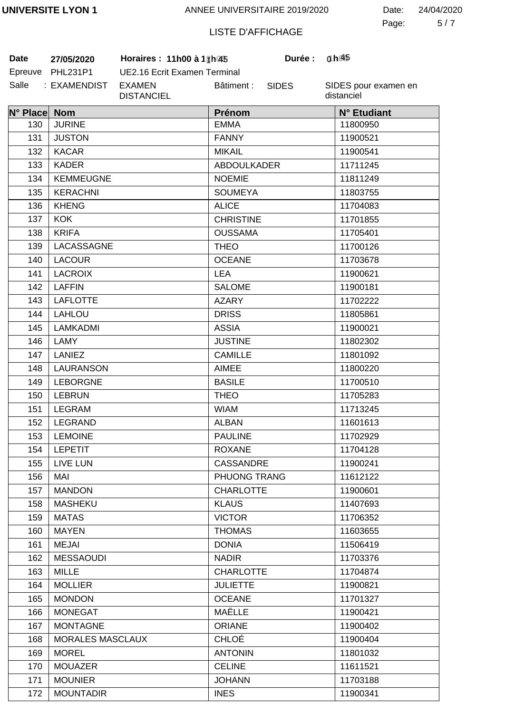5 7 Page: Date: 24/04/2020

# LISTE D'AFFICHAGE

SIDES

Salle : EXAMENDIST EXAMEN **Date** 27/05/2020 **Horaires : 11h00 à 12h00** 

Epreuve PHL231P1 UE2.16 Ecrit Examen Terminal DISTANCIEL Bâtiment :

SIDES pour examen en distanciel

**1 45 0 45**

| N° Place Nom |                         | Prénom             | N° Etudiant |
|--------------|-------------------------|--------------------|-------------|
| 130          | <b>JURINE</b>           | <b>EMMA</b>        | 11800950    |
| 131          | <b>JUSTON</b>           | <b>FANNY</b>       | 11900521    |
| 132          | <b>KACAR</b>            | <b>MIKAIL</b>      | 11900541    |
| 133          | <b>KADER</b>            | <b>ABDOULKADER</b> | 11711245    |
| 134          | <b>KEMMEUGNE</b>        | <b>NOEMIE</b>      | 11811249    |
| 135          | <b>KERACHNI</b>         | <b>SOUMEYA</b>     | 11803755    |
| 136          | <b>KHENG</b>            | <b>ALICE</b>       | 11704083    |
| 137          | <b>KOK</b>              | <b>CHRISTINE</b>   | 11701855    |
| 138          | <b>KRIFA</b>            | <b>OUSSAMA</b>     | 11705401    |
| 139          | LACASSAGNE              | <b>THEO</b>        | 11700126    |
| 140          | <b>LACOUR</b>           | <b>OCEANE</b>      | 11703678    |
| 141          | <b>LACROIX</b>          | <b>LEA</b>         | 11900621    |
| 142          | <b>LAFFIN</b>           | <b>SALOME</b>      | 11900181    |
| 143          | <b>LAFLOTTE</b>         | <b>AZARY</b>       | 11702222    |
| 144          | <b>LAHLOU</b>           | <b>DRISS</b>       | 11805861    |
| 145          | LAMKADMI                | <b>ASSIA</b>       | 11900021    |
| 146          | LAMY                    | <b>JUSTINE</b>     | 11802302    |
| 147          | <b>LANIEZ</b>           | <b>CAMILLE</b>     | 11801092    |
| 148          | <b>LAURANSON</b>        | <b>AIMEE</b>       | 11800220    |
| 149          | <b>LEBORGNE</b>         | <b>BASILE</b>      | 11700510    |
| 150          | <b>LEBRUN</b>           | <b>THEO</b>        | 11705283    |
| 151          | <b>LEGRAM</b>           | <b>WIAM</b>        | 11713245    |
| 152          | <b>LEGRAND</b>          | <b>ALBAN</b>       | 11601613    |
| 153          | <b>LEMOINE</b>          | <b>PAULINE</b>     | 11702929    |
| 154          | <b>LEPETIT</b>          | <b>ROXANE</b>      | 11704128    |
| 155          | LIVE LUN                | <b>CASSANDRE</b>   | 11900241    |
| 156          | MAI                     | PHUONG TRANG       | 11612122    |
| 157          | <b>MANDON</b>           | <b>CHARLOTTE</b>   | 11900601    |
| 158          | <b>MASHEKU</b>          | <b>KLAUS</b>       | 11407693    |
| 159          | <b>MATAS</b>            | <b>VICTOR</b>      | 11706352    |
| 160          | <b>MAYEN</b>            | <b>THOMAS</b>      | 11603655    |
| 161          | <b>MEJAI</b>            | <b>DONIA</b>       | 11506419    |
| 162          | <b>MESSAOUDI</b>        | <b>NADIR</b>       | 11703376    |
| 163          | <b>MILLE</b>            | <b>CHARLOTTE</b>   | 11704874    |
| 164          | <b>MOLLIER</b>          | <b>JULIETTE</b>    | 11900821    |
| 165          | <b>MONDON</b>           | <b>OCEANE</b>      | 11701327    |
| 166          | <b>MONEGAT</b>          | MAËLLE             | 11900421    |
| 167          | <b>MONTAGNE</b>         | <b>ORIANE</b>      | 11900402    |
| 168          | <b>MORALES MASCLAUX</b> | <b>CHLOÉ</b>       | 11900404    |
| 169          | <b>MOREL</b>            | <b>ANTONIN</b>     | 11801032    |
| 170          | <b>MOUAZER</b>          | <b>CELINE</b>      | 11611521    |
| 171          | <b>MOUNIER</b>          | <b>JOHANN</b>      | 11703188    |
| 172          | <b>MOUNTADIR</b>        | <b>INES</b>        | 11900341    |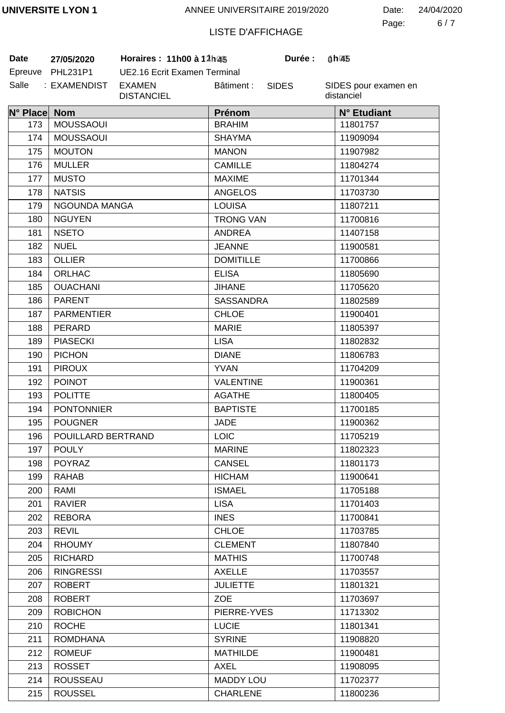6 7 Page: Date: 24/04/2020

# LISTE D'AFFICHAGE

**Date 27/05/2020 Horaires : 11h00 à 12h00 Durée : 1h00**

| Date  | 27/05/2020       |  |  |
|-------|------------------|--|--|
|       | Epreuve PHL231P1 |  |  |
| Salle | : EXAMENDIST     |  |  |

UE2.16 Ecrit Examen Terminal EXAMEN DISTANCIEL Bâtiment :

SIDES

**Durée:** 

SIDES pour examen en distanciel

| N° Place Nom |                    | Prénom           | N° Etudiant |
|--------------|--------------------|------------------|-------------|
| 173          | <b>MOUSSAOUI</b>   | <b>BRAHIM</b>    | 11801757    |
| 174          | <b>MOUSSAOUI</b>   | <b>SHAYMA</b>    | 11909094    |
| 175          | <b>MOUTON</b>      | <b>MANON</b>     | 11907982    |
| 176          | <b>MULLER</b>      | <b>CAMILLE</b>   | 11804274    |
| 177          | <b>MUSTO</b>       | <b>MAXIME</b>    | 11701344    |
| 178          | <b>NATSIS</b>      | <b>ANGELOS</b>   | 11703730    |
| 179          | NGOUNDA MANGA      | <b>LOUISA</b>    | 11807211    |
| 180          | <b>NGUYEN</b>      | <b>TRONG VAN</b> | 11700816    |
| 181          | <b>NSETO</b>       | <b>ANDREA</b>    | 11407158    |
| 182          | <b>NUEL</b>        | <b>JEANNE</b>    | 11900581    |
| 183          | <b>OLLIER</b>      | <b>DOMITILLE</b> | 11700866    |
| 184          | ORLHAC             | <b>ELISA</b>     | 11805690    |
| 185          | <b>OUACHANI</b>    | <b>JIHANE</b>    | 11705620    |
| 186          | <b>PARENT</b>      | <b>SASSANDRA</b> | 11802589    |
| 187          | <b>PARMENTIER</b>  | <b>CHLOE</b>     | 11900401    |
| 188          | PERARD             | <b>MARIE</b>     | 11805397    |
| 189          | <b>PIASECKI</b>    | <b>LISA</b>      | 11802832    |
| 190          | <b>PICHON</b>      | <b>DIANE</b>     | 11806783    |
| 191          | <b>PIROUX</b>      | <b>YVAN</b>      | 11704209    |
| 192          | <b>POINOT</b>      | <b>VALENTINE</b> | 11900361    |
| 193          | <b>POLITTE</b>     | <b>AGATHE</b>    | 11800405    |
| 194          | <b>PONTONNIER</b>  | <b>BAPTISTE</b>  | 11700185    |
| 195          | <b>POUGNER</b>     | <b>JADE</b>      | 11900362    |
| 196          | POUILLARD BERTRAND | <b>LOIC</b>      | 11705219    |
| 197          | <b>POULY</b>       | <b>MARINE</b>    | 11802323    |
| 198          | POYRAZ             | <b>CANSEL</b>    | 11801173    |
| 199          | <b>RAHAB</b>       | <b>HICHAM</b>    | 11900641    |
| 200          | RAMI               | <b>ISMAEL</b>    | 11705188    |
| 201          | <b>RAVIER</b>      | <b>LISA</b>      | 11701403    |
| 202          | <b>REBORA</b>      | <b>INES</b>      | 11700841    |
| 203          | <b>REVIL</b>       | <b>CHLOE</b>     | 11703785    |
| 204          | <b>RHOUMY</b>      | <b>CLEMENT</b>   | 11807840    |
| 205          | <b>RICHARD</b>     | <b>MATHIS</b>    | 11700748    |
| 206          | <b>RINGRESSI</b>   | <b>AXELLE</b>    | 11703557    |
| 207          | <b>ROBERT</b>      | <b>JULIETTE</b>  | 11801321    |
| 208          | <b>ROBERT</b>      | <b>ZOE</b>       | 11703697    |
| 209          | <b>ROBICHON</b>    | PIERRE-YVES      | 11713302    |
| 210          | <b>ROCHE</b>       | <b>LUCIE</b>     | 11801341    |
| 211          | <b>ROMDHANA</b>    | <b>SYRINE</b>    | 11908820    |
| 212          | <b>ROMEUF</b>      | <b>MATHILDE</b>  | 11900481    |
| 213          | <b>ROSSET</b>      | AXEL             | 11908095    |
| 214          | <b>ROUSSEAU</b>    | <b>MADDY LOU</b> | 11702377    |
| 215          | <b>ROUSSEL</b>     | <b>CHARLENE</b>  | 11800236    |